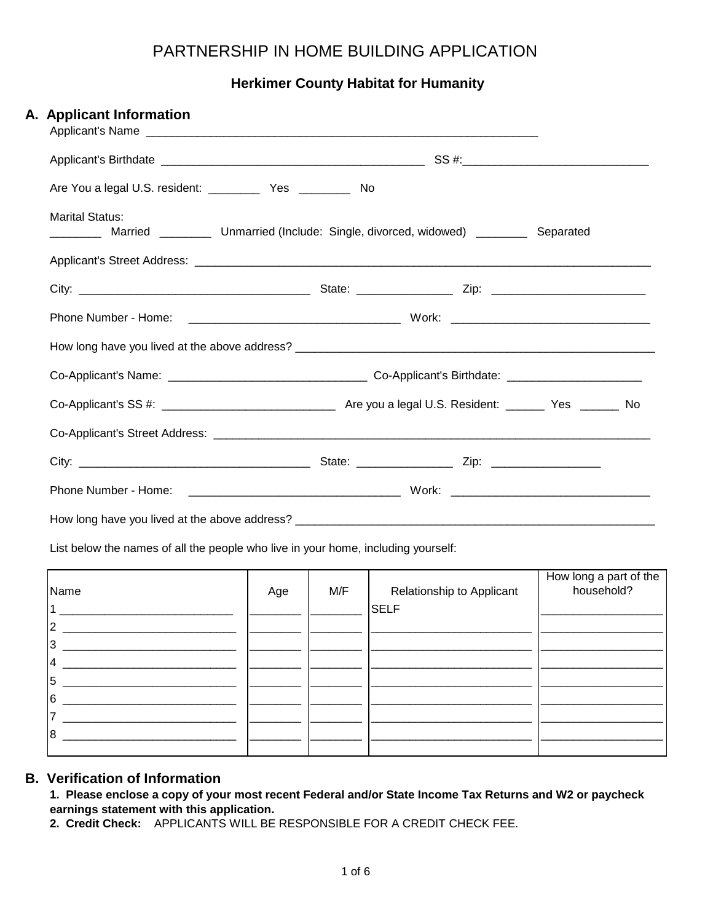## PARTNERSHIP IN HOME BUILDING APPLICATION

**Herkimer County Habitat for Humanity**

| A. Applicant Information                        |                                                                                  |           |  |
|-------------------------------------------------|----------------------------------------------------------------------------------|-----------|--|
|                                                 |                                                                                  |           |  |
| Are You a legal U.S. resident: Ves _________ No |                                                                                  |           |  |
| <b>Marital Status:</b>                          | Married _______________ Unmarried (Include: Single, divorced, widowed) _________ | Separated |  |
|                                                 |                                                                                  |           |  |
|                                                 |                                                                                  |           |  |
|                                                 |                                                                                  |           |  |
|                                                 |                                                                                  |           |  |
|                                                 |                                                                                  |           |  |
|                                                 |                                                                                  |           |  |
|                                                 |                                                                                  |           |  |
|                                                 |                                                                                  |           |  |
|                                                 |                                                                                  |           |  |
|                                                 |                                                                                  |           |  |

List below the names of all the people who live in your home, including yourself:

|      |     |     |                           | How long a part of the<br>household? |
|------|-----|-----|---------------------------|--------------------------------------|
| Name | Age | M/F | Relationship to Applicant |                                      |
|      |     |     | <b>SELF</b>               |                                      |
| 12   |     |     |                           |                                      |
| 13   |     |     |                           |                                      |
| 14   |     |     |                           |                                      |
| 15   |     |     |                           |                                      |
| I6   |     |     |                           |                                      |
|      |     |     |                           |                                      |
| 18   |     |     |                           |                                      |
|      |     |     |                           |                                      |

### **B. Verification of Information**

**1. Please enclose a copy of your most recent Federal and/or State Income Tax Returns and W2 or paycheck earnings statement with this application.**

**2. Credit Check:** APPLICANTS WILL BE RESPONSIBLE FOR A CREDIT CHECK FEE.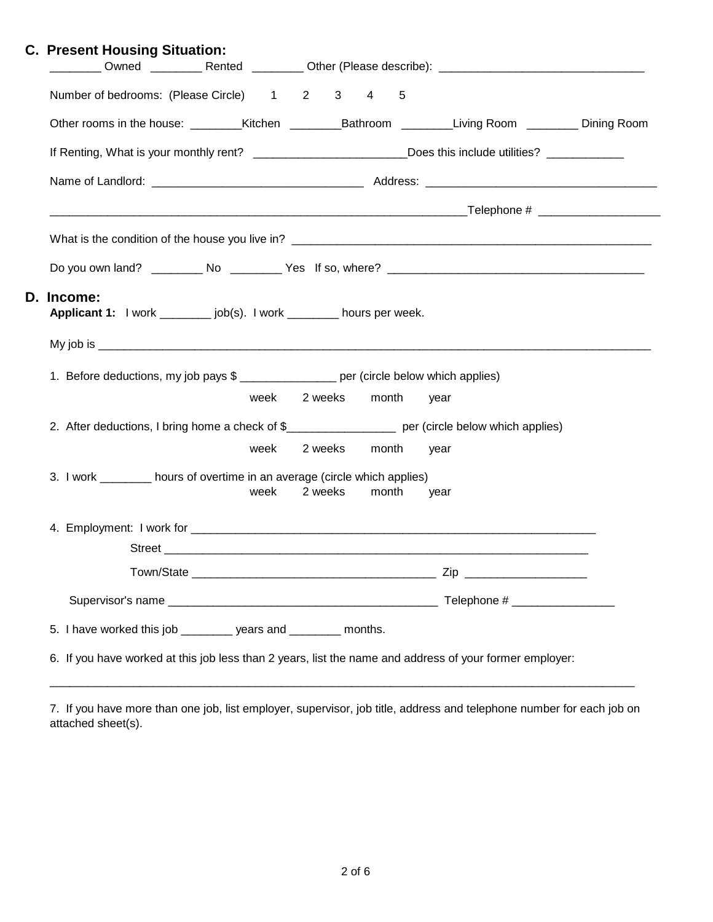| <b>C. Present Housing Situation:</b>                                                               |                         |               |               | ________ Owned _________ Rented ________ Other (Please describe): _________________________________               |
|----------------------------------------------------------------------------------------------------|-------------------------|---------------|---------------|-------------------------------------------------------------------------------------------------------------------|
| Number of bedrooms: (Please Circle) 1 2 3 4 5                                                      |                         |               |               |                                                                                                                   |
|                                                                                                    |                         |               |               | Other rooms in the house: ________Kitchen ________________Bathroom ____________Living Room __________ Dining Room |
|                                                                                                    |                         |               |               | If Renting, What is your monthly rent? ___________________________Does this include utilities? ____________       |
|                                                                                                    |                         |               |               |                                                                                                                   |
|                                                                                                    |                         |               |               |                                                                                                                   |
|                                                                                                    |                         |               |               |                                                                                                                   |
|                                                                                                    |                         |               |               |                                                                                                                   |
| D. Income:<br>Applicant 1: I work _________ job(s). I work ________ hours per week.                |                         |               |               |                                                                                                                   |
|                                                                                                    |                         |               |               |                                                                                                                   |
| 1. Before deductions, my job pays \$ ________________ per (circle below which applies)             |                         |               |               |                                                                                                                   |
|                                                                                                    | week 2 weeks month year |               |               |                                                                                                                   |
| 2. After deductions, I bring home a check of \$__________________ per (circle below which applies) |                         |               |               |                                                                                                                   |
|                                                                                                    | week                    | 2 weeks month |               | year                                                                                                              |
| 3. I work _________ hours of overtime in an average (circle which applies)                         |                         |               |               |                                                                                                                   |
|                                                                                                    | week                    |               | 2 weeks month | year                                                                                                              |
|                                                                                                    |                         |               |               |                                                                                                                   |
|                                                                                                    |                         |               |               |                                                                                                                   |
|                                                                                                    |                         |               |               | Zip _________________________                                                                                     |
|                                                                                                    |                         |               |               |                                                                                                                   |
| 5. I have worked this job _________ years and ________ months.                                     |                         |               |               |                                                                                                                   |
|                                                                                                    |                         |               |               |                                                                                                                   |

7. If you have more than one job, list employer, supervisor, job title, address and telephone number for each job on attached sheet(s).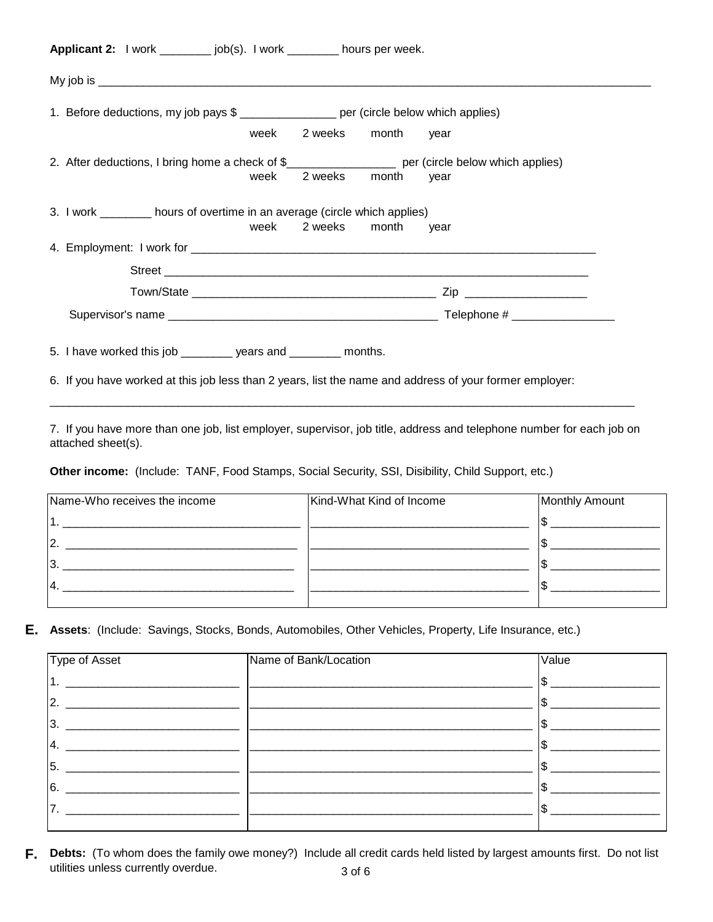| week |  |                                                                                                                                                                                                                                                                                                                                                                                                                                                                                                                                                                                                                                                                                                                                         |
|------|--|-----------------------------------------------------------------------------------------------------------------------------------------------------------------------------------------------------------------------------------------------------------------------------------------------------------------------------------------------------------------------------------------------------------------------------------------------------------------------------------------------------------------------------------------------------------------------------------------------------------------------------------------------------------------------------------------------------------------------------------------|
|      |  | year                                                                                                                                                                                                                                                                                                                                                                                                                                                                                                                                                                                                                                                                                                                                    |
|      |  |                                                                                                                                                                                                                                                                                                                                                                                                                                                                                                                                                                                                                                                                                                                                         |
|      |  |                                                                                                                                                                                                                                                                                                                                                                                                                                                                                                                                                                                                                                                                                                                                         |
|      |  |                                                                                                                                                                                                                                                                                                                                                                                                                                                                                                                                                                                                                                                                                                                                         |
|      |  |                                                                                                                                                                                                                                                                                                                                                                                                                                                                                                                                                                                                                                                                                                                                         |
|      |  |                                                                                                                                                                                                                                                                                                                                                                                                                                                                                                                                                                                                                                                                                                                                         |
|      |  | Applicant 2: I work __________ job(s). I work _________ hours per week.<br>1. Before deductions, my job pays \$ _________________ per (circle below which applies)<br>week 2 weeks month year<br>2. After deductions, I bring home a check of \$_____________________ per (circle below which applies)<br>2 weeks month year<br>3. I work ________ hours of overtime in an average (circle which applies)<br>week 2 weeks month<br>5. I have worked this job _________ years and ________ months.<br>$\bullet$ if the interest in the contract of the contract of the contract of the contract of the contract of the contract of the contract of the contract of the contract of the contract of the contract of the contract of the c |

6. If you have worked at this job less than 2 years, list the name and address of your former employer: \_\_\_\_\_\_\_\_\_\_\_\_\_\_\_\_\_\_\_\_\_\_\_\_\_\_\_\_\_\_\_\_\_\_\_\_\_\_\_\_\_\_\_\_\_\_\_\_\_\_\_\_\_\_\_\_\_\_\_\_\_\_\_\_\_\_\_\_\_\_\_\_\_\_\_\_\_\_\_\_\_\_\_\_\_\_\_\_\_\_\_

7. If you have more than one job, list employer, supervisor, job title, address and telephone number for each job on attached sheet(s).

**Other income:** (Include: TANF, Food Stamps, Social Security, SSI, Disibility, Child Support, etc.)

| Name-Who receives the income | Kind-What Kind of Income | Monthly Amount |
|------------------------------|--------------------------|----------------|
|                              |                          |                |
|                              |                          |                |
|                              |                          |                |
|                              |                          |                |
|                              |                          |                |

#### **E. Assets**: (Include: Savings, Stocks, Bonds, Automobiles, Other Vehicles, Property, Life Insurance, etc.)

| Type of Asset | Name of Bank/Location | Value |
|---------------|-----------------------|-------|
| $\mathbf 1$   |                       |       |
| 2.            |                       |       |
| 3.            |                       |       |
| 14.           |                       |       |
| 15.           |                       |       |
| 16.           |                       |       |
| '7.           |                       |       |
|               |                       |       |

**F. Debts:** (To whom does the family owe money?) Include all credit cards held listed by largest amounts first. Do not list utilities unless currently overdue. 3 of 6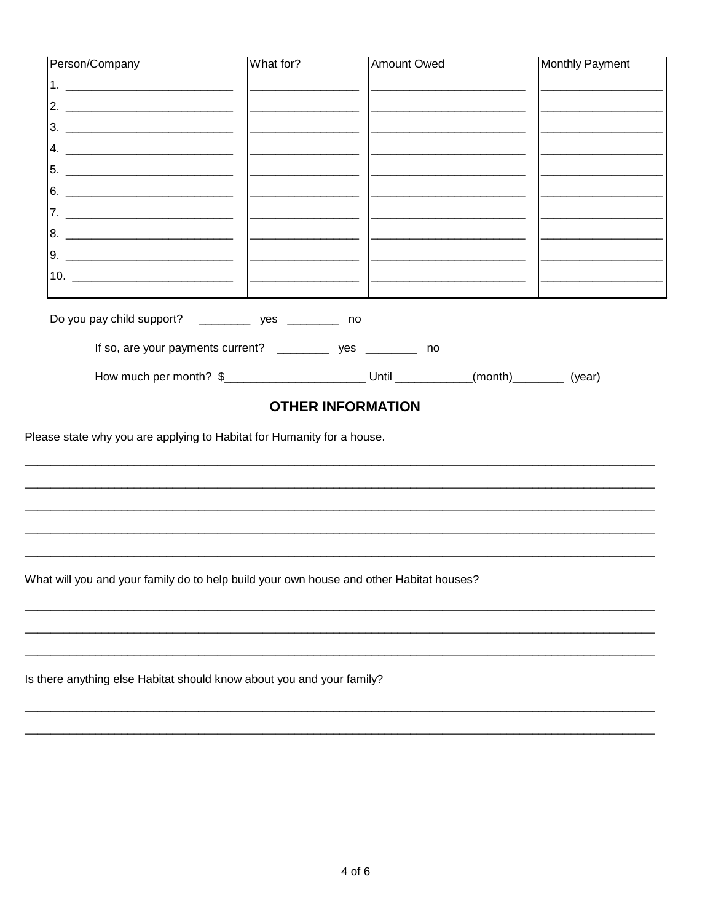| Person/Company                                                                                        | What for? | <b>Amount Owed</b>  | Monthly Payment |
|-------------------------------------------------------------------------------------------------------|-----------|---------------------|-----------------|
|                                                                                                       |           |                     |                 |
|                                                                                                       |           |                     |                 |
|                                                                                                       |           |                     |                 |
|                                                                                                       |           |                     |                 |
|                                                                                                       |           |                     |                 |
|                                                                                                       |           |                     |                 |
|                                                                                                       |           |                     |                 |
|                                                                                                       |           |                     |                 |
|                                                                                                       |           |                     |                 |
|                                                                                                       |           |                     |                 |
|                                                                                                       |           |                     |                 |
| Do you pay child support? ______________ yes _____________ no                                         |           |                     |                 |
| If so, are your payments current? ______________ yes _____________ no                                 |           |                     |                 |
| How much per month? \$___________________________________Until ______________(month)___________(year) |           |                     |                 |
|                                                                                                       |           | ATUEB INFABILITIAN. |                 |

# **OTHER INFORMATION**

Please state why you are applying to Habitat for Humanity for a house.

What will you and your family do to help build your own house and other Habitat houses?

Is there anything else Habitat should know about you and your family?